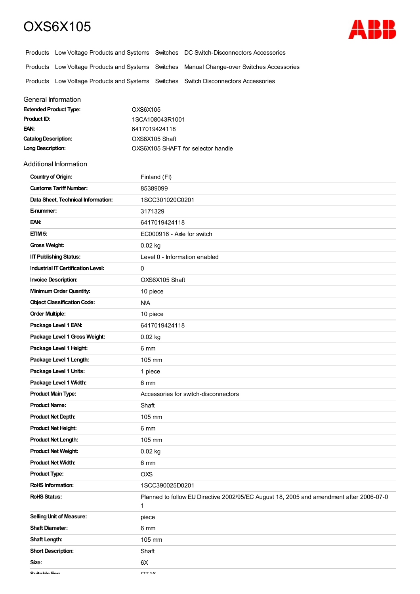## OXS6X105



|                                                                                     | Products Low Voltage Products and Systems Switches DC Switch-Disconnectors Accessories     |
|-------------------------------------------------------------------------------------|--------------------------------------------------------------------------------------------|
|                                                                                     | Products Low Voltage Products and Systems Switches Manual Change-over Switches Accessories |
| Products Low Voltage Products and Systems Switches Switch Disconnectors Accessories |                                                                                            |

## General Information

| <b>Extended Product Type:</b> | OXS6X105                           |
|-------------------------------|------------------------------------|
| <b>Product ID:</b>            | 1SCA108043R1001                    |
| EAN:                          | 6417019424118                      |
| <b>Catalog Description:</b>   | OXS6X105 Shaft                     |
| Long Description:             | OXS6X105 SHAFT for selector handle |

## Additional Information

| <b>Country of Origin:</b>                 | Finland (FI)                                                                                 |
|-------------------------------------------|----------------------------------------------------------------------------------------------|
| <b>Customs Tariff Number:</b>             | 85389099                                                                                     |
| Data Sheet, Technical Information:        | 1SCC301020C0201                                                                              |
| E-nummer:                                 | 3171329                                                                                      |
| EAN:                                      | 6417019424118                                                                                |
| ETIM <sub>5</sub> :                       | EC000916 - Axle for switch                                                                   |
| <b>Gross Weight:</b>                      | 0.02 kg                                                                                      |
| <b>IIT Publishing Status:</b>             | Level 0 - Information enabled                                                                |
| <b>Industrial IT Certification Level:</b> | $\mathbf 0$                                                                                  |
| <b>Invoice Description:</b>               | OXS6X105 Shaft                                                                               |
| <b>Minimum Order Quantity:</b>            | 10 piece                                                                                     |
| <b>Object Classification Code:</b>        | <b>N/A</b>                                                                                   |
| <b>Order Multiple:</b>                    | 10 piece                                                                                     |
| Package Level 1 EAN:                      | 6417019424118                                                                                |
| Package Level 1 Gross Weight:             | $0.02$ kg                                                                                    |
| Package Level 1 Height:                   | 6 mm                                                                                         |
| Package Level 1 Length:                   | 105 mm                                                                                       |
| Package Level 1 Units:                    | 1 piece                                                                                      |
| Package Level 1 Width:                    | 6 mm                                                                                         |
| <b>Product Main Type:</b>                 | Accessories for switch-disconnectors                                                         |
| <b>Product Name:</b>                      | Shaft                                                                                        |
| <b>Product Net Depth:</b>                 | 105 mm                                                                                       |
| <b>Product Net Height:</b>                | 6 mm                                                                                         |
| <b>Product Net Length:</b>                | 105 mm                                                                                       |
| <b>Product Net Weight:</b>                | 0.02 kg                                                                                      |
| <b>Product Net Width:</b>                 | 6 mm                                                                                         |
| <b>Product Type:</b>                      | OXS                                                                                          |
| <b>RoHS Information:</b>                  | 1SCC390025D0201                                                                              |
| <b>RoHS Status:</b>                       | Planned to follow EU Directive 2002/95/EC August 18, 2005 and amendment after 2006-07-0<br>1 |
| <b>Selling Unit of Measure:</b>           | piece                                                                                        |
| <b>Shaft Diameter:</b>                    | 6 mm                                                                                         |
| Shaft Length:                             | 105 mm                                                                                       |
| <b>Short Description:</b>                 | Shaft                                                                                        |
| Size:                                     | 6X                                                                                           |
| Cuitable Card                             | $\bigcap$ T <sub>4</sub> $\bigcap$                                                           |